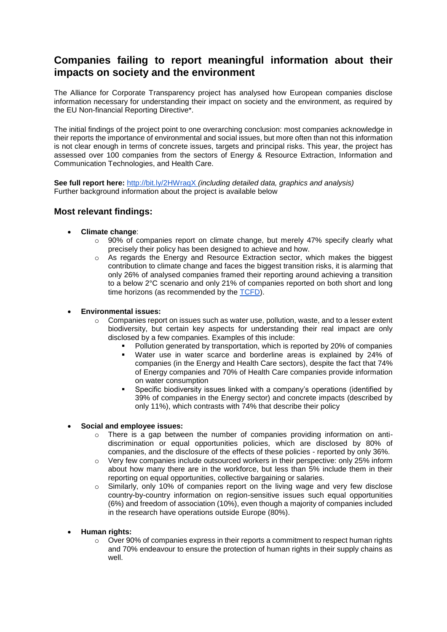# **Companies failing to report meaningful information about their impacts on society and the environment**

The Alliance for Corporate Transparency project has analysed how European companies disclose information necessary for understanding their impact on society and the environment, as required by the EU Non-financial Reporting Directive\*.

The initial findings of the project point to one overarching conclusion: most companies acknowledge in their reports the importance of environmental and social issues, but more often than not this information is not clear enough in terms of concrete issues, targets and principal risks. This year, the project has assessed over 100 companies from the sectors of Energy & Resource Extraction, Information and Communication Technologies, and Health Care.

**See full report here:** <http://bit.ly/2HWraqX>*(including detailed data, graphics and analysis)* Further background information about the project is available below

### **Most relevant findings:**

- **Climate change**:
	- $\circ$  90% of companies report on climate change, but merely 47% specify clearly what precisely their policy has been designed to achieve and how.
	- o As regards the Energy and Resource Extraction sector, which makes the biggest contribution to climate change and faces the biggest transition risks, it is alarming that only 26% of analysed companies framed their reporting around achieving a transition to a below 2°C scenario and only 21% of companies reported on both short and long time horizons (as recommended by the [TCFD\)](https://www.fsb-tcfd.org/publications/final-recommendations-report/).

### • **Environmental issues:**

- $\circ$  Companies report on issues such as water use, pollution, waste, and to a lesser extent biodiversity, but certain key aspects for understanding their real impact are only disclosed by a few companies. Examples of this include:
	- Pollution generated by transportation, which is reported by 20% of companies
	- Water use in water scarce and borderline areas is explained by 24% of companies (in the Energy and Health Care sectors), despite the fact that 74% of Energy companies and 70% of Health Care companies provide information on water consumption
	- Specific biodiversity issues linked with a company's operations (identified by 39% of companies in the Energy sector) and concrete impacts (described by only 11%), which contrasts with 74% that describe their policy

### • **Social and employee issues:**

- $\circ$  There is a gap between the number of companies providing information on antidiscrimination or equal opportunities policies, which are disclosed by 80% of companies, and the disclosure of the effects of these policies - reported by only 36%.
- $\circ$  Very few companies include outsourced workers in their perspective: only 25% inform about how many there are in the workforce, but less than 5% include them in their reporting on equal opportunities, collective bargaining or salaries.
- $\circ$  Similarly, only 10% of companies report on the living wage and very few disclose country-by-country information on region-sensitive issues such equal opportunities (6%) and freedom of association (10%), even though a majority of companies included in the research have operations outside Europe (80%).
- **Human rights:** 
	- $\circ$  Over 90% of companies express in their reports a commitment to respect human rights and 70% endeavour to ensure the protection of human rights in their supply chains as well.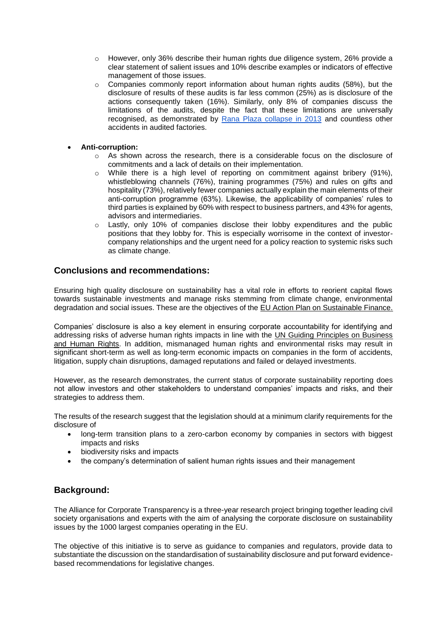- o However, only 36% describe their human rights due diligence system, 26% provide a clear statement of salient issues and 10% describe examples or indicators of effective management of those issues.
- $\circ$  Companies commonly report information about human rights audits (58%), but the disclosure of results of these audits is far less common (25%) as is disclosure of the actions consequently taken (16%). Similarly, only 8% of companies discuss the limitations of the audits, despite the fact that these limitations are universally recognised, as demonstrated by [Rana Plaza collapse in 2013](https://www.bbc.com/news/world-asia-22476774) and countless other accidents in audited factories.
- **Anti-corruption:** 
	- $\circ$  As shown across the research, there is a considerable focus on the disclosure of commitments and a lack of details on their implementation.
	- $\circ$  While there is a high level of reporting on commitment against bribery (91%), whistleblowing channels (76%), training programmes (75%) and rules on gifts and hospitality (73%), relatively fewer companies actually explain the main elements of their anti-corruption programme (63%). Likewise, the applicability of companies' rules to third parties is explained by 60% with respect to business partners, and 43% for agents, advisors and intermediaries.
	- o Lastly, only 10% of companies disclose their lobby expenditures and the public positions that they lobby for. This is especially worrisome in the context of investorcompany relationships and the urgent need for a policy reaction to systemic risks such as climate change.

# **Conclusions and recommendations:**

Ensuring high quality disclosure on sustainability has a vital role in efforts to reorient capital flows towards sustainable investments and manage risks stemming from climate change, environmental degradation and social issues. These are the objectives of the EU Action Plan on Sustainable Finance.

Companies' disclosure is also a key element in ensuring corporate accountability for identifying and addressing risks of adverse human rights impacts in line with the [UN Guiding Principles on Business](http://www.ohchr.org/Documents/Publications/GuidingPrinciplesBusinessHR_EN.pdf)  [and Human Rights.](http://www.ohchr.org/Documents/Publications/GuidingPrinciplesBusinessHR_EN.pdf) In addition, mismanaged human rights and environmental risks may result in significant short-term as well as long-term economic impacts on companies in the form of accidents, litigation, supply chain disruptions, damaged reputations and failed or delayed investments.

However, as the research demonstrates, the current status of corporate sustainability reporting does not allow investors and other stakeholders to understand companies' impacts and risks, and their strategies to address them.

The results of the research suggest that the legislation should at a minimum clarify requirements for the disclosure of

- long-term transition plans to a zero-carbon economy by companies in sectors with biggest impacts and risks
- biodiversity risks and impacts
- the company's determination of salient human rights issues and their management

# **Background:**

The Alliance for Corporate Transparency is a three-year research project bringing together leading civil society organisations and experts with the aim of analysing the corporate disclosure on sustainability issues by the 1000 largest companies operating in the EU.

The objective of this initiative is to serve as guidance to companies and regulators, provide data to substantiate the discussion on the standardisation of sustainability disclosure and put forward evidencebased recommendations for legislative changes.